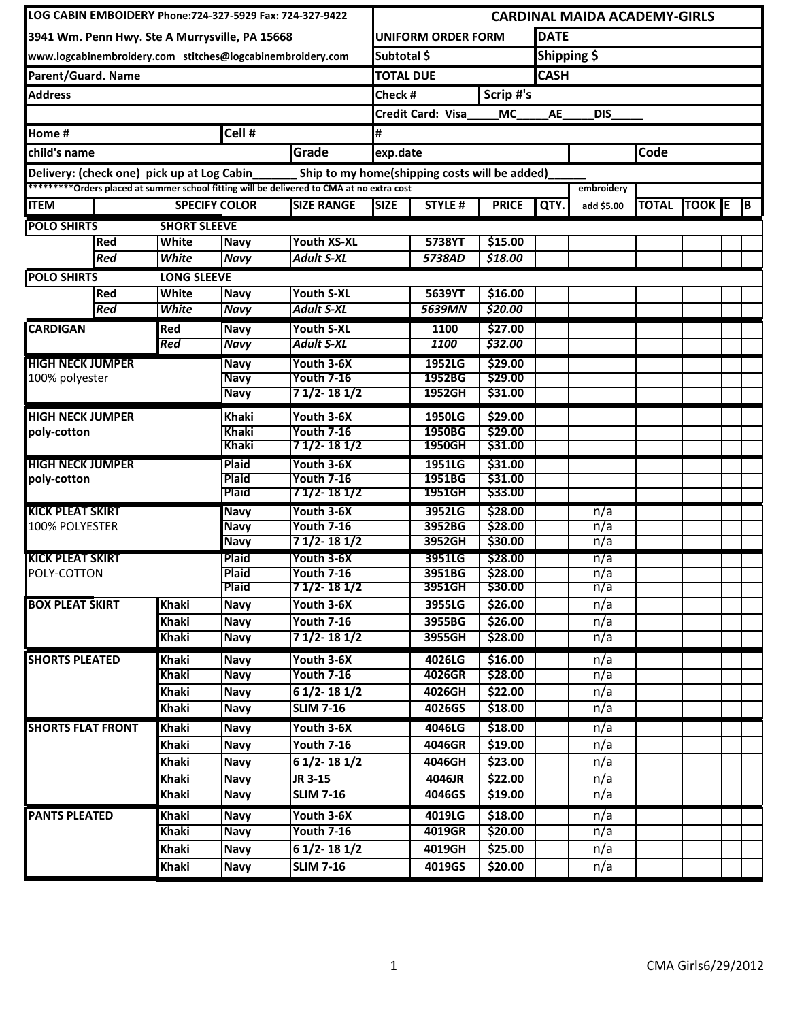| LOG CABIN EMBOIDERY Phone:724-327-5929 Fax: 724-327-9422                                                                                                                                                                                                                                                                    |              |                              |                                 | <b>CARDINAL MAIDA ACADEMY-GIRLS</b>           |                  |                          |                    |            |            |              |                 |  |  |
|-----------------------------------------------------------------------------------------------------------------------------------------------------------------------------------------------------------------------------------------------------------------------------------------------------------------------------|--------------|------------------------------|---------------------------------|-----------------------------------------------|------------------|--------------------------|--------------------|------------|------------|--------------|-----------------|--|--|
| 3941 Wm. Penn Hwy. Ste A Murrysville, PA 15668                                                                                                                                                                                                                                                                              |              |                              |                                 | <b>DATE</b><br>IUNIFORM ORDER FORM            |                  |                          |                    |            |            |              |                 |  |  |
| www.logcabinembroidery.com stitches@logcabinembroidery.com                                                                                                                                                                                                                                                                  |              |                              |                                 | Subtotal \$                                   |                  |                          | Shipping \$        |            |            |              |                 |  |  |
| Parent/Guard. Name                                                                                                                                                                                                                                                                                                          |              |                              |                                 | <b>TOTAL DUE</b>                              |                  |                          | <b>CASH</b>        |            |            |              |                 |  |  |
| <b>Address</b>                                                                                                                                                                                                                                                                                                              |              |                              |                                 |                                               | Check #          |                          | Scrip #'s          |            |            |              |                 |  |  |
|                                                                                                                                                                                                                                                                                                                             |              |                              |                                 |                                               |                  | <b>Credit Card: Visa</b> | MC                 | AE         | DIS        |              |                 |  |  |
| Home #                                                                                                                                                                                                                                                                                                                      |              |                              | Cell $#$                        |                                               | #                |                          |                    |            |            |              |                 |  |  |
|                                                                                                                                                                                                                                                                                                                             |              |                              |                                 | Grade                                         | Code<br>exp.date |                          |                    |            |            |              |                 |  |  |
|                                                                                                                                                                                                                                                                                                                             |              |                              |                                 | Ship to my home(shipping costs will be added) |                  |                          |                    |            |            |              |                 |  |  |
|                                                                                                                                                                                                                                                                                                                             |              |                              |                                 |                                               |                  |                          |                    |            | embroidery |              |                 |  |  |
| <b>ITEM</b>                                                                                                                                                                                                                                                                                                                 |              |                              | <b>SPECIFY COLOR</b>            | <b>SIZE RANGE</b>                             | <b>SIZE</b>      | <b>STYLE#</b>            | <b>PRICE</b>       | QTY.       | add \$5.00 | <b>TOTAL</b> | <b>TOOK E</b> B |  |  |
|                                                                                                                                                                                                                                                                                                                             |              | <b>SHORT SLEEVE</b>          |                                 |                                               |                  |                          |                    |            |            |              |                 |  |  |
|                                                                                                                                                                                                                                                                                                                             | <b>Red</b>   | White                        | <b>Navy</b>                     | <b>Youth XS-XL</b>                            |                  | 5738YT                   | \$15.00            |            |            |              |                 |  |  |
|                                                                                                                                                                                                                                                                                                                             | <b>Red</b>   | White                        | <b>Navy</b>                     | <b>Adult S-XL</b>                             |                  | 5738AD                   | 518.00             |            |            |              |                 |  |  |
|                                                                                                                                                                                                                                                                                                                             |              | <b>LONG SLEEVE</b>           |                                 |                                               |                  |                          |                    |            |            |              |                 |  |  |
|                                                                                                                                                                                                                                                                                                                             | <b>Red</b>   | White                        | <b>Navy</b>                     | <b>Youth S-XL</b>                             |                  | 5639YT                   | \$16.00            |            |            |              |                 |  |  |
|                                                                                                                                                                                                                                                                                                                             | Red          | White                        | <b>Navy</b>                     | <b>Adult S-XL</b>                             |                  | 5639MN                   | \$20.00            |            |            |              |                 |  |  |
| <b>CARDIGAN</b>                                                                                                                                                                                                                                                                                                             |              | <b>Red</b>                   | <b>Navy</b>                     | Youth S-XL                                    |                  | 1100                     | \$27.00            |            |            |              |                 |  |  |
|                                                                                                                                                                                                                                                                                                                             |              | <b>Red</b>                   | <b>Navy</b>                     | <b>Adult S-XL</b>                             |                  | 1100                     | \$32.00            |            |            |              |                 |  |  |
|                                                                                                                                                                                                                                                                                                                             |              |                              | Navy                            | Youth 3-6X                                    |                  | 1952LG                   | \$29.00            |            |            |              |                 |  |  |
|                                                                                                                                                                                                                                                                                                                             |              |                              | <b>Navy</b><br><b>Navy</b>      | <b>Youth 7-16</b><br>7 1/2- 18 1/2            |                  | 1952BG<br>1952GH         | \$29.00<br>\$31.00 |            |            |              |                 |  |  |
|                                                                                                                                                                                                                                                                                                                             |              |                              |                                 |                                               |                  |                          |                    |            |            |              |                 |  |  |
|                                                                                                                                                                                                                                                                                                                             |              |                              | <b>Khaki</b>                    | Youth 3-6X                                    |                  | 1950LG                   | \$29.00            |            |            |              |                 |  |  |
|                                                                                                                                                                                                                                                                                                                             |              |                              | Khaki<br>Khaki                  | <b>Youth 7-16</b><br>7 1/2- 18 1/2            |                  | 1950BG<br>1950GH         | \$29.00<br>\$31.00 |            |            |              |                 |  |  |
|                                                                                                                                                                                                                                                                                                                             |              |                              | <b>Plaid</b>                    | Youth 3-6X                                    |                  | 1951LG                   | \$31.00            |            |            |              |                 |  |  |
|                                                                                                                                                                                                                                                                                                                             |              |                              | <b>Plaid</b>                    | <b>Youth 7-16</b>                             |                  | 1951BG                   | \$31.00            |            |            |              |                 |  |  |
|                                                                                                                                                                                                                                                                                                                             |              |                              | <b>Plaid</b>                    | 7 1/2- 18 1/2                                 |                  | 1951GH                   | \$33.00            |            |            |              |                 |  |  |
|                                                                                                                                                                                                                                                                                                                             |              |                              | <b>Navy</b>                     | Youth 3-6X                                    |                  | 3952LG                   | \$28.00            |            | n/a        |              |                 |  |  |
|                                                                                                                                                                                                                                                                                                                             |              |                              | <b>Navy</b>                     | <b>Youth 7-16</b>                             |                  | 3952BG                   | \$28.00            |            | n/a        |              |                 |  |  |
|                                                                                                                                                                                                                                                                                                                             |              |                              | <b>Navy</b>                     | 7 1/2 - 18 1/2                                |                  | 3952GH                   | \$30.00            |            | n/a        |              |                 |  |  |
| <b>KICK PLEAT SKIRT</b><br>POLY-COTTON                                                                                                                                                                                                                                                                                      |              | <b>Plaid</b><br><b>Plaid</b> | Youth 3-6X<br><b>Youth 7-16</b> |                                               | 3951LG<br>3951BG | \$28.00<br>\$28.00       |                    | n/a<br>n/a |            |              |                 |  |  |
|                                                                                                                                                                                                                                                                                                                             |              |                              | <b>Plaid</b>                    | $71/2 - 181/2$                                |                  | 3951GH                   | \$30.00            |            | n/a        |              |                 |  |  |
|                                                                                                                                                                                                                                                                                                                             | <b>Khaki</b> | <b>Navy</b>                  | Youth 3-6X                      |                                               | 3955LG           | \$26.00                  |                    | n/a        |            |              |                 |  |  |
|                                                                                                                                                                                                                                                                                                                             |              | <b>Khaki</b>                 | <b>Navy</b>                     | <b>Youth 7-16</b>                             |                  | 3955BG                   | \$26.00            |            | n/a        |              |                 |  |  |
|                                                                                                                                                                                                                                                                                                                             |              | <b>Khaki</b>                 | <b>Navy</b>                     | $71/2 - 181/2$                                |                  | 3955GH                   | \$28.00            |            | n/a        |              |                 |  |  |
| child's name<br>Delivery: (check one) pick up at Log Cabin<br>*********Orders placed at summer school fitting will be delivered to CMA at no extra cost<br><b>POLO SHIRTS</b><br><b>POLO SHIRTS</b><br><b>HIGH NECK JUMPER</b><br>100% polyester<br><b>HIGH NECK JUMPER</b><br>poly-cotton<br>poly-cotton<br>100% POLYESTER | <b>Khaki</b> | <b>Navy</b>                  | Youth 3-6X                      |                                               | 4026LG           | \$16.00                  |                    | n/a        |            |              |                 |  |  |
|                                                                                                                                                                                                                                                                                                                             | <b>Khaki</b> | <b>Navy</b>                  | <b>Youth 7-16</b>               |                                               | 4026GR           | \$28.00                  |                    | n/a        |            |              |                 |  |  |
|                                                                                                                                                                                                                                                                                                                             |              | <b>Khaki</b>                 | <b>Navy</b>                     | $61/2 - 181/2$                                |                  | 4026GH                   | \$22.00            |            | n/a        |              |                 |  |  |
|                                                                                                                                                                                                                                                                                                                             |              | <b>Khaki</b>                 | <b>Navy</b>                     | <b>SLIM 7-16</b>                              |                  | 4026GS                   | \$18.00            |            | n/a        |              |                 |  |  |
| <b>SHORTS FLAT FRONT</b>                                                                                                                                                                                                                                                                                                    |              | <b>Khaki</b>                 | <b>Navy</b>                     | Youth 3-6X                                    |                  | 4046LG                   | \$18.00            |            | n/a        |              |                 |  |  |
|                                                                                                                                                                                                                                                                                                                             |              | Khaki                        | <b>Navy</b>                     | <b>Youth 7-16</b>                             |                  | 4046GR                   | \$19.00            |            | n/a        |              |                 |  |  |
|                                                                                                                                                                                                                                                                                                                             |              | <b>Khaki</b>                 | <b>Navy</b>                     | $61/2 - 181/2$                                |                  | 4046GH                   | \$23.00            |            | n/a        |              |                 |  |  |
|                                                                                                                                                                                                                                                                                                                             |              | <b>Khaki</b>                 | <b>Navy</b>                     | JR 3-15                                       |                  | 4046JR                   | \$22.00            |            | n/a        |              |                 |  |  |
|                                                                                                                                                                                                                                                                                                                             |              | <b>Khaki</b>                 | <b>Navy</b>                     | <b>SLIM 7-16</b>                              |                  | 4046GS                   | \$19.00            |            | n/a        |              |                 |  |  |
| <b>PANTS PLEATED</b>                                                                                                                                                                                                                                                                                                        |              | <b>Khaki</b>                 | <b>Navy</b>                     | Youth 3-6X                                    |                  | 4019LG                   | \$18.00            |            | n/a        |              |                 |  |  |
| <b>HIGH NECK JUMPER</b><br><b>KICK PLEAT SKIRT</b><br><b>BOX PLEAT SKIRT</b><br><b>SHORTS PLEATED</b>                                                                                                                                                                                                                       |              | <b>Khaki</b>                 | <b>Navy</b>                     | <b>Youth 7-16</b>                             |                  | 4019GR                   | \$20.00            |            | n/a        |              |                 |  |  |
|                                                                                                                                                                                                                                                                                                                             |              | <b>Khaki</b>                 | <b>Navy</b>                     | $61/2 - 181/2$                                |                  | 4019GH                   | \$25.00            |            | n/a        |              |                 |  |  |
|                                                                                                                                                                                                                                                                                                                             |              | <b>Khaki</b>                 | <b>Navy</b>                     | <b>SLIM 7-16</b>                              |                  | 4019GS                   | \$20.00            |            | n/a        |              |                 |  |  |